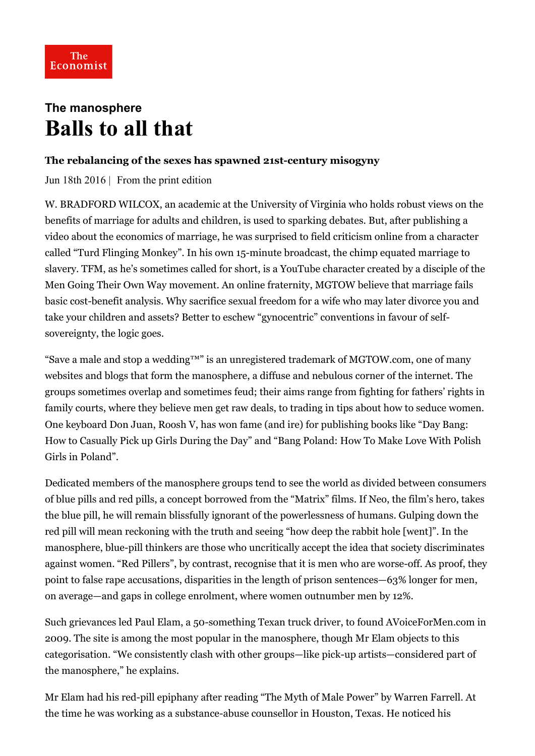## The manosphere Balls to all that

The Economist

## The rebalancing of the sexes has spawned 21st-century misogyny

Jun 18th 2016 | From the print [edition](http://www.economist.com/printedition/2016-06-18)

W. BRADFORD WILCOX, an academic at the University of Virginia who holds robust views on the benefits of marriage for adults and children, is used to sparking debates. But, after publishing a video about the economics of marriage, he was surprised to field criticism online from a character called "Turd Flinging Monkey". In his own 15-minute broadcast, the chimp equated marriage to slavery. TFM, as he's sometimes called for short, is a YouTube character created by a disciple of the Men Going Their Own Way movement. An online fraternity, MGTOW believe that marriage fails basic cost-benefit analysis. Why sacrifice sexual freedom for a wife who may later divorce you and take your children and assets? Better to eschew "gynocentric" conventions in favour of selfsovereignty, the logic goes.

"Save a male and stop a wedding™" is an unregistered trademark of MGTOW.com, one of many websites and blogs that form the manosphere, a diffuse and nebulous corner of the internet. The groups sometimes overlap and sometimes feud; their aims range from fighting for fathers' rights in family courts, where they believe men get raw deals, to trading in tips about how to seduce women. One keyboard Don Juan, Roosh V, has won fame (and ire) for publishing books like "Day Bang: How to Casually Pick up Girls During the Day" and "Bang Poland: How To Make Love With Polish Girls in Poland".

Dedicated members of the manosphere groups tend to see the world as divided between consumers of blue pills and red pills, a concept borrowed from the "Matrix" films. If Neo, the film's hero, takes the blue pill, he will remain blissfully ignorant of the powerlessness of humans. Gulping down the red pill will mean reckoning with the truth and seeing "how deep the rabbit hole [went]". In the manosphere, blue-pill thinkers are those who uncritically accept the idea that society discriminates against women. "Red Pillers", by contrast, recognise that it is men who are worse-off. As proof, they point to false rape accusations, disparities in the length of prison sentences—63% longer for men, on average—and gaps in college enrolment, where women outnumber men by 12%.

Such grievances led Paul Elam, a 50-something Texan truck driver, to found AVoiceForMen.com in 2009. The site is among the most popular in the manosphere, though Mr Elam objects to this categorisation. "We consistently clash with other groups—like pick-up artists—considered part of the manosphere," he explains.

Mr Elam had his red-pill epiphany after reading "The Myth of Male Power" by Warren Farrell. At the time he was working as a substance-abuse counsellor in Houston, Texas. He noticed his